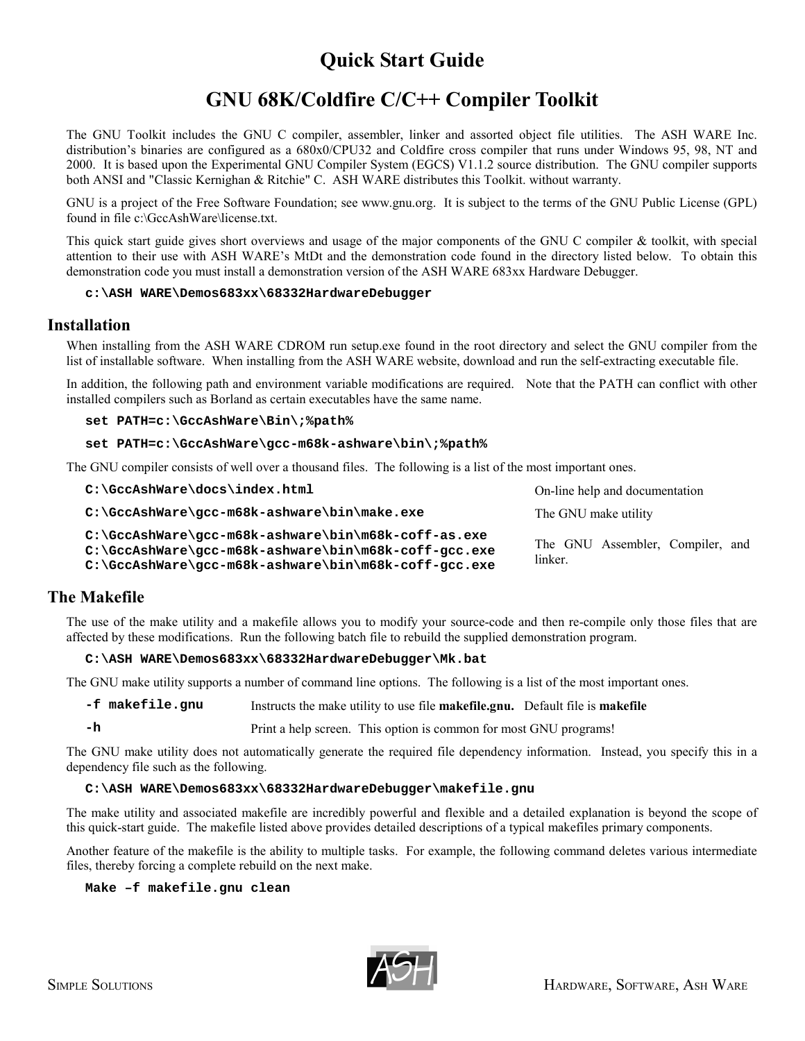# **Quick Start Guide**

# **GNU 68K/Coldfire C/C++ Compiler Toolkit**

The GNU Toolkit includes the GNU C compiler, assembler, linker and assorted object file utilities. The ASH WARE Inc. distribution's binaries are configured as a 680x0/CPU32 and Coldfire cross compiler that runs under Windows 95, 98, NT and 2000. It is based upon the Experimental GNU Compiler System (EGCS) V1.1.2 source distribution. The GNU compiler supports both ANSI and "Classic Kernighan & Ritchie" C. ASH WARE distributes this Toolkit. without warranty.

GNU is a project of the Free Software Foundation; see www.gnu.org. It is subject to the terms of the GNU Public License (GPL) found in file c:\GccAshWare\license.txt.

This quick start guide gives short overviews and usage of the major components of the GNU C compiler & toolkit, with special attention to their use with ASH WARE's MtDt and the demonstration code found in the directory listed below. To obtain this demonstration code you must install a demonstration version of the ASH WARE 683xx Hardware Debugger.

#### **c:\ASH WARE\Demos683xx\68332HardwareDebugger**

### **Installation**

When installing from the ASH WARE CDROM run setup.exe found in the root directory and select the GNU compiler from the list of installable software. When installing from the ASH WARE website, download and run the self-extracting executable file.

In addition, the following path and environment variable modifications are required. Note that the PATH can conflict with other installed compilers such as Borland as certain executables have the same name.

#### **set PATH=c:\GccAshWare\Bin\;%path%**

#### **set PATH=c:\GccAshWare\gcc-m68k-ashware\bin\;%path%**

The GNU compiler consists of well over a thousand files. The following is a list of the most important ones.

| $C:\C\text{C}\text{C}$ and $\text{C}\text{C}$ and $\text{C}\text{C}$ and $\text{C}\text{C}$ and $\text{C}\text{C}$ and $\text{C}\text{C}$ and $\text{C}\text{C}$ and $\text{C}\text{C}$ and $\text{C}\text{C}$ and $\text{C}\text{C}$ and $\text{C}\text{C}$ and $\text{C}\text{C}$ and $\text{C}\text{C}$ and $\text{C}\text{C}$ | On-line help and documentation              |
|-----------------------------------------------------------------------------------------------------------------------------------------------------------------------------------------------------------------------------------------------------------------------------------------------------------------------------------|---------------------------------------------|
| $C: \Gcc$ AshWare\qcc-m68k-ashware\bin\make.exe                                                                                                                                                                                                                                                                                   | The GNU make utility                        |
| $C:\C\cdot\SccAshWare\q\ccc-m68k-ashware\binom{\binom{8k-coff-as,exe}}{s}$<br>$C:\CccAshWare\qno- m68k-ashware\binom{68k-coff-qcc.exe}{}$<br>$C:\CccAshWare\qccc-m68k-ashware\binom{8k-coff-gcc.exe}{}$                                                                                                                           | The GNU Assembler, Compiler, and<br>linker. |

## **The Makefile**

The use of the make utility and a makefile allows you to modify your source-code and then re-compile only those files that are affected by these modifications. Run the following batch file to rebuild the supplied demonstration program.

#### **C:\ASH WARE\Demos683xx\68332HardwareDebugger\Mk.bat**

The GNU make utility supports a number of command line options. The following is a list of the most important ones.

```
-f makefile.gnu Instructs the make utility to use file makefile.gnu. Default file is makefile
```
**-h** Print a help screen. This option is common for most GNU programs!

The GNU make utility does not automatically generate the required file dependency information. Instead, you specify this in a dependency file such as the following.

#### **C:\ASH WARE\Demos683xx\68332HardwareDebugger\makefile.gnu**

The make utility and associated makefile are incredibly powerful and flexible and a detailed explanation is beyond the scope of this quick-start guide. The makefile listed above provides detailed descriptions of a typical makefiles primary components.

Another feature of the makefile is the ability to multiple tasks. For example, the following command deletes various intermediate files, thereby forcing a complete rebuild on the next make.

**Make –f makefile.gnu clean**